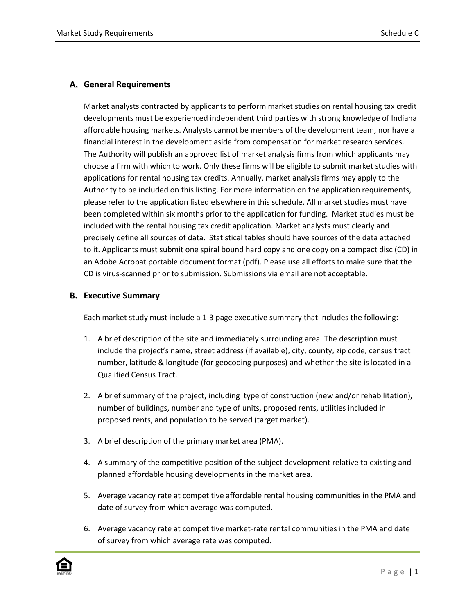## **A. General Requirements**

Market analysts contracted by applicants to perform market studies on rental housing tax credit developments must be experienced independent third parties with strong knowledge of Indiana affordable housing markets. Analysts cannot be members of the development team, nor have a financial interest in the development aside from compensation for market research services. The Authority will publish an approved list of market analysis firms from which applicants may choose a firm with which to work. Only these firms will be eligible to submit market studies with applications for rental housing tax credits. Annually, market analysis firms may apply to the Authority to be included on this listing. For more information on the application requirements, please refer to the application listed elsewhere in this schedule. All market studies must have been completed within six months prior to the application for funding. Market studies must be included with the rental housing tax credit application. Market analysts must clearly and precisely define all sources of data. Statistical tables should have sources of the data attached to it. Applicants must submit one spiral bound hard copy and one copy on a compact disc (CD) in an Adobe Acrobat portable document format (pdf). Please use all efforts to make sure that the CD is virus-scanned prior to submission. Submissions via email are not acceptable.

## **B. Executive Summary**

Each market study must include a 1-3 page executive summary that includes the following:

- 1. A brief description of the site and immediately surrounding area. The description must include the project's name, street address (if available), city, county, zip code, census tract number, latitude & longitude (for geocoding purposes) and whether the site is located in a Qualified Census Tract.
- 2. A brief summary of the project, including type of construction (new and/or rehabilitation), number of buildings, number and type of units, proposed rents, utilities included in proposed rents, and population to be served (target market).
- 3. A brief description of the primary market area (PMA).
- 4. A summary of the competitive position of the subject development relative to existing and planned affordable housing developments in the market area.
- 5. Average vacancy rate at competitive affordable rental housing communities in the PMA and date of survey from which average was computed.
- 6. Average vacancy rate at competitive market-rate rental communities in the PMA and date of survey from which average rate was computed.

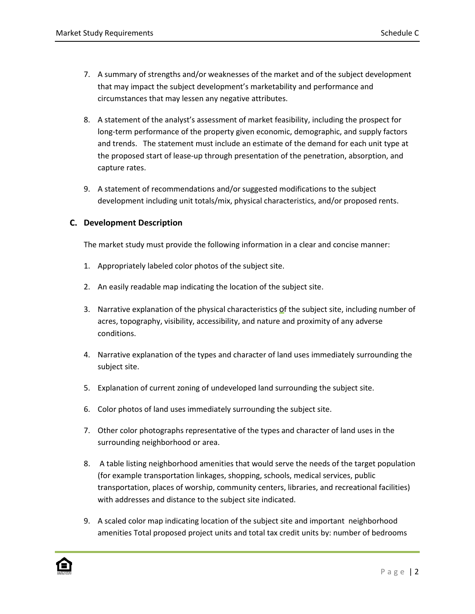- 7. A summary of strengths and/or weaknesses of the market and of the subject development that may impact the subject development's marketability and performance and circumstances that may lessen any negative attributes.
- 8. A statement of the analyst's assessment of market feasibility, including the prospect for long-term performance of the property given economic, demographic, and supply factors and trends. The statement must include an estimate of the demand for each unit type at the proposed start of lease-up through presentation of the penetration, absorption, and capture rates.
- 9. A statement of recommendations and/or suggested modifications to the subject development including unit totals/mix, physical characteristics, and/or proposed rents.

## **C. Development Description**

The market study must provide the following information in a clear and concise manner:

- 1. Appropriately labeled color photos of the subject site.
- 2. An easily readable map indicating the location of the subject site.
- 3. Narrative explanation of the physical characteristics of the subject site, including number of acres, topography, visibility, accessibility, and nature and proximity of any adverse conditions.
- 4. Narrative explanation of the types and character of land uses immediately surrounding the subject site.
- 5. Explanation of current zoning of undeveloped land surrounding the subject site.
- 6. Color photos of land uses immediately surrounding the subject site.
- 7. Other color photographs representative of the types and character of land uses in the surrounding neighborhood or area.
- 8. A table listing neighborhood amenities that would serve the needs of the target population (for example transportation linkages, shopping, schools, medical services, public transportation, places of worship, community centers, libraries, and recreational facilities) with addresses and distance to the subject site indicated.
- 9. A scaled color map indicating location of the subject site and important neighborhood amenities Total proposed project units and total tax credit units by: number of bedrooms

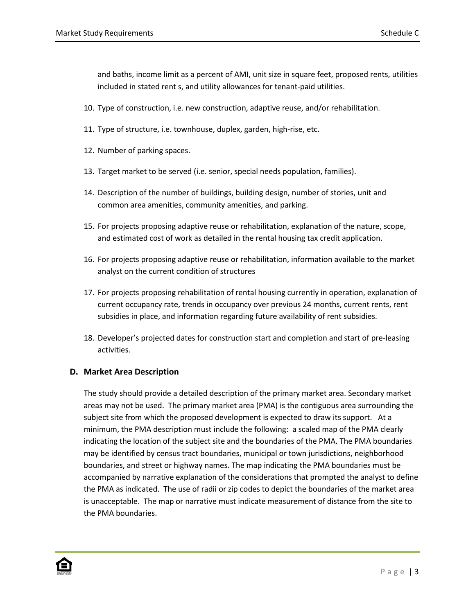and baths, income limit as a percent of AMI, unit size in square feet, proposed rents, utilities included in stated rent s, and utility allowances for tenant-paid utilities.

- 10. Type of construction, i.e. new construction, adaptive reuse, and/or rehabilitation.
- 11. Type of structure, i.e. townhouse, duplex, garden, high-rise, etc.
- 12. Number of parking spaces.
- 13. Target market to be served (i.e. senior, special needs population, families).
- 14. Description of the number of buildings, building design, number of stories, unit and common area amenities, community amenities, and parking.
- 15. For projects proposing adaptive reuse or rehabilitation, explanation of the nature, scope, and estimated cost of work as detailed in the rental housing tax credit application.
- 16. For projects proposing adaptive reuse or rehabilitation, information available to the market analyst on the current condition of structures
- 17. For projects proposing rehabilitation of rental housing currently in operation, explanation of current occupancy rate, trends in occupancy over previous 24 months, current rents, rent subsidies in place, and information regarding future availability of rent subsidies.
- 18. Developer's projected dates for construction start and completion and start of pre-leasing activities.

## **D. Market Area Description**

The study should provide a detailed description of the primary market area. Secondary market areas may not be used. The primary market area (PMA) is the contiguous area surrounding the subject site from which the proposed development is expected to draw its support. At a minimum, the PMA description must include the following: a scaled map of the PMA clearly indicating the location of the subject site and the boundaries of the PMA. The PMA boundaries may be identified by census tract boundaries, municipal or town jurisdictions, neighborhood boundaries, and street or highway names. The map indicating the PMA boundaries must be accompanied by narrative explanation of the considerations that prompted the analyst to define the PMA as indicated. The use of radii or zip codes to depict the boundaries of the market area is unacceptable. The map or narrative must indicate measurement of distance from the site to the PMA boundaries.

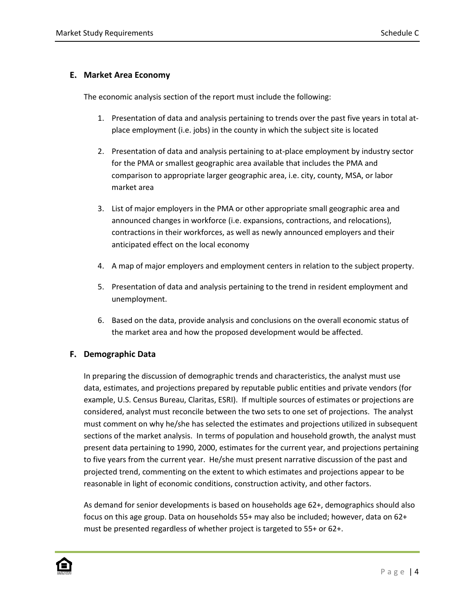# **E. Market Area Economy**

The economic analysis section of the report must include the following:

- 1. Presentation of data and analysis pertaining to trends over the past five years in total atplace employment (i.e. jobs) in the county in which the subject site is located
- 2. Presentation of data and analysis pertaining to at-place employment by industry sector for the PMA or smallest geographic area available that includes the PMA and comparison to appropriate larger geographic area, i.e. city, county, MSA, or labor market area
- 3. List of major employers in the PMA or other appropriate small geographic area and announced changes in workforce (i.e. expansions, contractions, and relocations), contractions in their workforces, as well as newly announced employers and their anticipated effect on the local economy
- 4. A map of major employers and employment centers in relation to the subject property.
- 5. Presentation of data and analysis pertaining to the trend in resident employment and unemployment.
- 6. Based on the data, provide analysis and conclusions on the overall economic status of the market area and how the proposed development would be affected.

# **F. Demographic Data**

In preparing the discussion of demographic trends and characteristics, the analyst must use data, estimates, and projections prepared by reputable public entities and private vendors (for example, U.S. Census Bureau, Claritas, ESRI). If multiple sources of estimates or projections are considered, analyst must reconcile between the two sets to one set of projections. The analyst must comment on why he/she has selected the estimates and projections utilized in subsequent sections of the market analysis. In terms of population and household growth, the analyst must present data pertaining to 1990, 2000, estimates for the current year, and projections pertaining to five years from the current year. He/she must present narrative discussion of the past and projected trend, commenting on the extent to which estimates and projections appear to be reasonable in light of economic conditions, construction activity, and other factors.

As demand for senior developments is based on households age 62+, demographics should also focus on this age group. Data on households 55+ may also be included; however, data on 62+ must be presented regardless of whether project is targeted to 55+ or 62+.

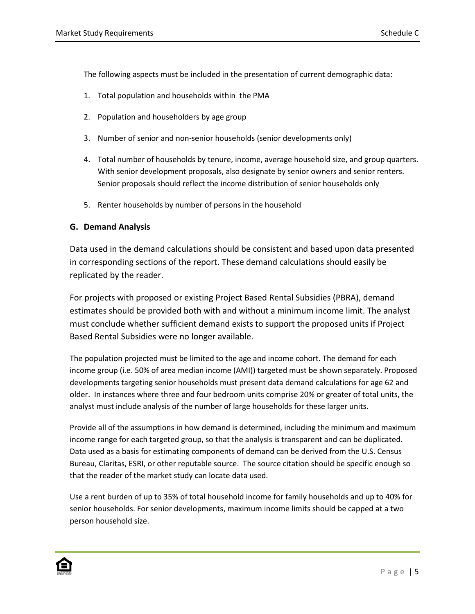The following aspects must be included in the presentation of current demographic data:

- 1. Total population and households within the PMA
- 2. Population and householders by age group
- 3. Number of senior and non-senior households (senior developments only)
- 4. Total number of households by tenure, income, average household size, and group quarters. With senior development proposals, also designate by senior owners and senior renters. Senior proposals should reflect the income distribution of senior households only
- 5. Renter households by number of persons in the household

# **G. Demand Analysis**

Data used in the demand calculations should be consistent and based upon data presented in corresponding sections of the report. These demand calculations should easily be replicated by the reader.

For projects with proposed or existing Project Based Rental Subsidies (PBRA), demand estimates should be provided both with and without a minimum income limit. The analyst must conclude whether sufficient demand exists to support the proposed units if Project Based Rental Subsidies were no longer available.

The population projected must be limited to the age and income cohort. The demand for each income group (i.e. 50% of area median income (AMI)) targeted must be shown separately. Proposed developments targeting senior households must present data demand calculations for age 62 and older. In instances where three and four bedroom units comprise 20% or greater of total units, the analyst must include analysis of the number of large households for these larger units.

Provide all of the assumptions in how demand is determined, including the minimum and maximum income range for each targeted group, so that the analysis is transparent and can be duplicated. Data used as a basis for estimating components of demand can be derived from the U.S. Census Bureau, Claritas, ESRI, or other reputable source. The source citation should be specific enough so that the reader of the market study can locate data used.

Use a rent burden of up to 35% of total household income for family households and up to 40% for senior households. For senior developments, maximum income limits should be capped at a two person household size.

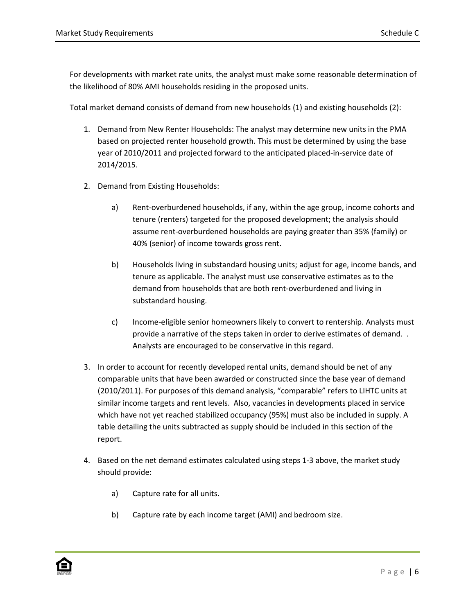For developments with market rate units, the analyst must make some reasonable determination of the likelihood of 80% AMI households residing in the proposed units.

Total market demand consists of demand from new households (1) and existing households (2):

- 1. Demand from New Renter Households: The analyst may determine new units in the PMA based on projected renter household growth. This must be determined by using the base year of 2010/2011 and projected forward to the anticipated placed-in-service date of 2014/2015.
- 2. Demand from Existing Households:
	- a) Rent-overburdened households, if any, within the age group, income cohorts and tenure (renters) targeted for the proposed development; the analysis should assume rent-overburdened households are paying greater than 35% (family) or 40% (senior) of income towards gross rent.
	- b) Households living in substandard housing units; adjust for age, income bands, and tenure as applicable. The analyst must use conservative estimates as to the demand from households that are both rent-overburdened and living in substandard housing.
	- c) Income-eligible senior homeowners likely to convert to rentership. Analysts must provide a narrative of the steps taken in order to derive estimates of demand. . Analysts are encouraged to be conservative in this regard.
- 3. In order to account for recently developed rental units, demand should be net of any comparable units that have been awarded or constructed since the base year of demand (2010/2011). For purposes of this demand analysis, "comparable" refers to LIHTC units at similar income targets and rent levels. Also, vacancies in developments placed in service which have not yet reached stabilized occupancy (95%) must also be included in supply. A table detailing the units subtracted as supply should be included in this section of the report.
- 4. Based on the net demand estimates calculated using steps 1-3 above, the market study should provide:
	- a) Capture rate for all units.
	- b) Capture rate by each income target (AMI) and bedroom size.

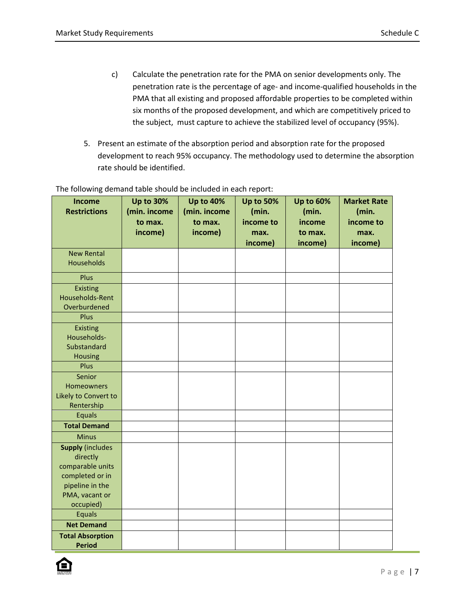- c) Calculate the penetration rate for the PMA on senior developments only. The penetration rate is the percentage of age- and income-qualified households in the PMA that all existing and proposed affordable properties to be completed within six months of the proposed development, and which are competitively priced to the subject, must capture to achieve the stabilized level of occupancy (95%).
- 5. Present an estimate of the absorption period and absorption rate for the proposed development to reach 95% occupancy. The methodology used to determine the absorption rate should be identified.

| <b>Income</b><br><b>Restrictions</b>                                                                                         | <b>Up to 30%</b><br>(min. income<br>to max.<br>income) | <b>Up to 40%</b><br>(min. income<br>to max.<br>income) | <b>Up to 50%</b><br>(min.<br>income to<br>max. | <b>Up to 60%</b><br>(min.<br>income<br>to max. | <b>Market Rate</b><br>(min.<br>income to<br>max. |
|------------------------------------------------------------------------------------------------------------------------------|--------------------------------------------------------|--------------------------------------------------------|------------------------------------------------|------------------------------------------------|--------------------------------------------------|
|                                                                                                                              |                                                        |                                                        | income)                                        | income)                                        | income)                                          |
| <b>New Rental</b><br><b>Households</b>                                                                                       |                                                        |                                                        |                                                |                                                |                                                  |
| Plus                                                                                                                         |                                                        |                                                        |                                                |                                                |                                                  |
| <b>Existing</b><br>Households-Rent<br>Overburdened                                                                           |                                                        |                                                        |                                                |                                                |                                                  |
| Plus                                                                                                                         |                                                        |                                                        |                                                |                                                |                                                  |
| <b>Existing</b><br>Households-<br>Substandard<br><b>Housing</b>                                                              |                                                        |                                                        |                                                |                                                |                                                  |
| Plus                                                                                                                         |                                                        |                                                        |                                                |                                                |                                                  |
| Senior<br><b>Homeowners</b><br>Likely to Convert to<br>Rentership<br><b>Equals</b>                                           |                                                        |                                                        |                                                |                                                |                                                  |
| <b>Total Demand</b>                                                                                                          |                                                        |                                                        |                                                |                                                |                                                  |
| <b>Minus</b>                                                                                                                 |                                                        |                                                        |                                                |                                                |                                                  |
| <b>Supply (includes</b><br>directly<br>comparable units<br>completed or in<br>pipeline in the<br>PMA, vacant or<br>occupied) |                                                        |                                                        |                                                |                                                |                                                  |
| Equals                                                                                                                       |                                                        |                                                        |                                                |                                                |                                                  |
| <b>Net Demand</b>                                                                                                            |                                                        |                                                        |                                                |                                                |                                                  |
| <b>Total Absorption</b><br><b>Period</b>                                                                                     |                                                        |                                                        |                                                |                                                |                                                  |

The following demand table should be included in each report:

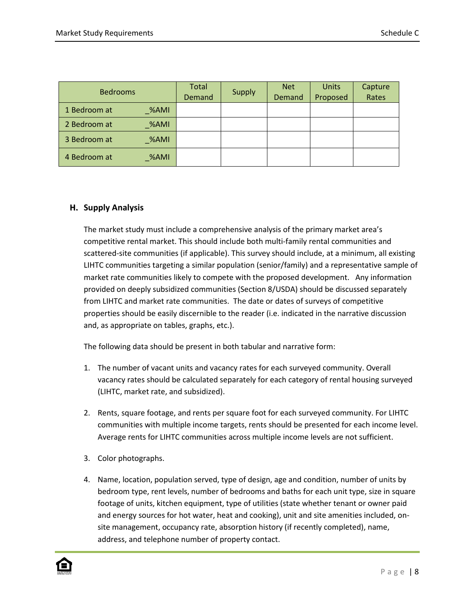| <b>Bedrooms</b> |                  | <b>Total</b><br>Demand | <b>Supply</b> | <b>Net</b><br><b>Demand</b> | Units<br>Proposed | Capture<br>Rates |
|-----------------|------------------|------------------------|---------------|-----------------------------|-------------------|------------------|
| 1 Bedroom at    | %AMI             |                        |               |                             |                   |                  |
| 2 Bedroom at    | $\mathcal{A}$ MI |                        |               |                             |                   |                  |
| 3 Bedroom at    | %AMI             |                        |               |                             |                   |                  |
| 4 Bedroom at    | %AMI             |                        |               |                             |                   |                  |

# **H. Supply Analysis**

The market study must include a comprehensive analysis of the primary market area's competitive rental market. This should include both multi-family rental communities and scattered-site communities (if applicable). This survey should include, at a minimum, all existing LIHTC communities targeting a similar population (senior/family) and a representative sample of market rate communities likely to compete with the proposed development. Any information provided on deeply subsidized communities (Section 8/USDA) should be discussed separately from LIHTC and market rate communities. The date or dates of surveys of competitive properties should be easily discernible to the reader (i.e. indicated in the narrative discussion and, as appropriate on tables, graphs, etc.).

The following data should be present in both tabular and narrative form:

- 1. The number of vacant units and vacancy rates for each surveyed community. Overall vacancy rates should be calculated separately for each category of rental housing surveyed (LIHTC, market rate, and subsidized).
- 2. Rents, square footage, and rents per square foot for each surveyed community. For LIHTC communities with multiple income targets, rents should be presented for each income level. Average rents for LIHTC communities across multiple income levels are not sufficient.
- 3. Color photographs.
- 4. Name, location, population served, type of design, age and condition, number of units by bedroom type, rent levels, number of bedrooms and baths for each unit type, size in square footage of units, kitchen equipment, type of utilities (state whether tenant or owner paid and energy sources for hot water, heat and cooking), unit and site amenities included, onsite management, occupancy rate, absorption history (if recently completed), name, address, and telephone number of property contact.

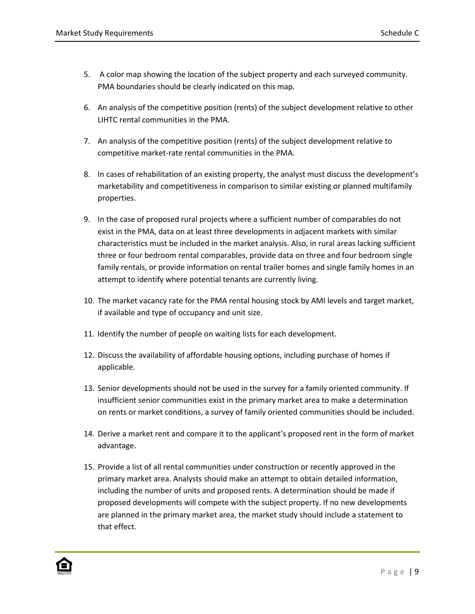- 5. A color map showing the location of the subject property and each surveyed community. PMA boundaries should be clearly indicated on this map.
- 6. An analysis of the competitive position (rents) of the subject development relative to other LIHTC rental communities in the PMA.
- 7. An analysis of the competitive position (rents) of the subject development relative to competitive market-rate rental communities in the PMA.
- 8. In cases of rehabilitation of an existing property, the analyst must discuss the development's marketability and competitiveness in comparison to similar existing or planned multifamily properties.
- 9. In the case of proposed rural projects where a sufficient number of comparables do not exist in the PMA, data on at least three developments in adjacent markets with similar characteristics must be included in the market analysis. Also, in rural areas lacking sufficient three or four bedroom rental comparables, provide data on three and four bedroom single family rentals, or provide information on rental trailer homes and single family homes in an attempt to identify where potential tenants are currently living.
- 10. The market vacancy rate for the PMA rental housing stock by AMI levels and target market, if available and type of occupancy and unit size.
- 11. Identify the number of people on waiting lists for each development.
- 12. Discuss the availability of affordable housing options, including purchase of homes if applicable.
- 13. Senior developments should not be used in the survey for a family oriented community. If insufficient senior communities exist in the primary market area to make a determination on rents or market conditions, a survey of family oriented communities should be included.
- 14. Derive a market rent and compare it to the applicant's proposed rent in the form of market advantage.
- 15. Provide a list of all rental communities under construction or recently approved in the primary market area. Analysts should make an attempt to obtain detailed information, including the number of units and proposed rents. A determination should be made if proposed developments will compete with the subject property. If no new developments are planned in the primary market area, the market study should include a statement to that effect.

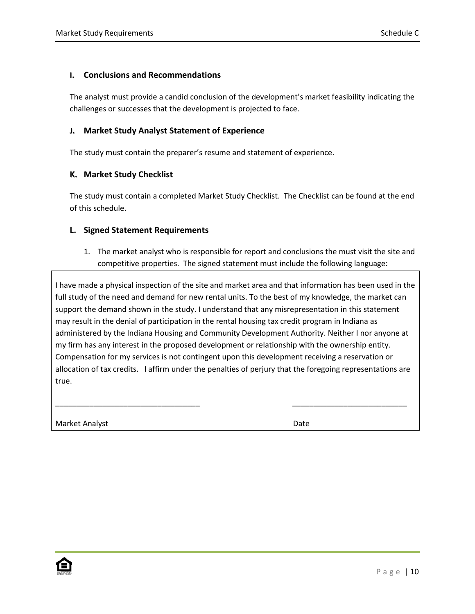#### **I. Conclusions and Recommendations**

The analyst must provide a candid conclusion of the development's market feasibility indicating the challenges or successes that the development is projected to face.

#### **J. Market Study Analyst Statement of Experience**

The study must contain the preparer's resume and statement of experience.

#### **K. Market Study Checklist**

The study must contain a completed Market Study Checklist. The Checklist can be found at the end of this schedule.

#### **L. Signed Statement Requirements**

1. The market analyst who is responsible for report and conclusions the must visit the site and competitive properties. The signed statement must include the following language:

I have made a physical inspection of the site and market area and that information has been used in the full study of the need and demand for new rental units. To the best of my knowledge, the market can support the demand shown in the study. I understand that any misrepresentation in this statement may result in the denial of participation in the rental housing tax credit program in Indiana as administered by the Indiana Housing and Community Development Authority. Neither I nor anyone at my firm has any interest in the proposed development or relationship with the ownership entity. Compensation for my services is not contingent upon this development receiving a reservation or allocation of tax credits. I affirm under the penalties of perjury that the foregoing representations are true.

\_\_\_\_\_\_\_\_\_\_\_\_\_\_\_\_\_\_\_\_\_\_\_\_\_\_\_\_\_\_\_\_\_\_ \_\_\_\_\_\_\_\_\_\_\_\_\_\_\_\_\_\_\_\_\_\_\_\_\_\_\_

Market Analyst **Date** 

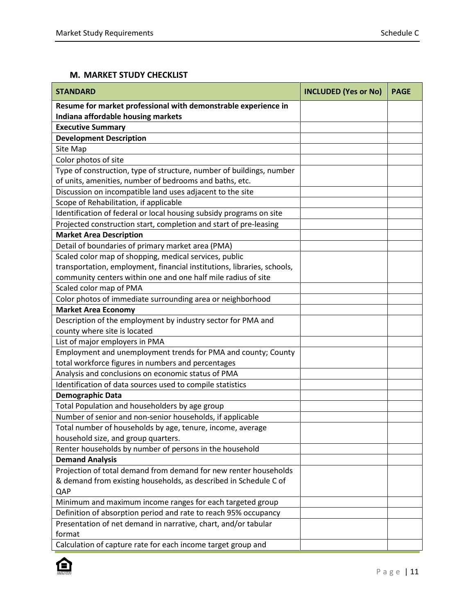## **M. MARKET STUDY CHECKLIST**

| <b>STANDARD</b>                                                         | <b>INCLUDED (Yes or No)</b> | <b>PAGE</b> |
|-------------------------------------------------------------------------|-----------------------------|-------------|
| Resume for market professional with demonstrable experience in          |                             |             |
| Indiana affordable housing markets                                      |                             |             |
| <b>Executive Summary</b>                                                |                             |             |
| <b>Development Description</b>                                          |                             |             |
| Site Map                                                                |                             |             |
| Color photos of site                                                    |                             |             |
| Type of construction, type of structure, number of buildings, number    |                             |             |
| of units, amenities, number of bedrooms and baths, etc.                 |                             |             |
| Discussion on incompatible land uses adjacent to the site               |                             |             |
| Scope of Rehabilitation, if applicable                                  |                             |             |
| Identification of federal or local housing subsidy programs on site     |                             |             |
| Projected construction start, completion and start of pre-leasing       |                             |             |
| <b>Market Area Description</b>                                          |                             |             |
| Detail of boundaries of primary market area (PMA)                       |                             |             |
| Scaled color map of shopping, medical services, public                  |                             |             |
| transportation, employment, financial institutions, libraries, schools, |                             |             |
| community centers within one and one half mile radius of site           |                             |             |
| Scaled color map of PMA                                                 |                             |             |
| Color photos of immediate surrounding area or neighborhood              |                             |             |
| <b>Market Area Economy</b>                                              |                             |             |
| Description of the employment by industry sector for PMA and            |                             |             |
| county where site is located                                            |                             |             |
| List of major employers in PMA                                          |                             |             |
| Employment and unemployment trends for PMA and county; County           |                             |             |
| total workforce figures in numbers and percentages                      |                             |             |
| Analysis and conclusions on economic status of PMA                      |                             |             |
| Identification of data sources used to compile statistics               |                             |             |
| <b>Demographic Data</b>                                                 |                             |             |
| Total Population and householders by age group                          |                             |             |
| Number of senior and non-senior households, if applicable               |                             |             |
| Total number of households by age, tenure, income, average              |                             |             |
| household size, and group quarters.                                     |                             |             |
| Renter households by number of persons in the household                 |                             |             |
| <b>Demand Analysis</b>                                                  |                             |             |
| Projection of total demand from demand for new renter households        |                             |             |
| & demand from existing households, as described in Schedule C of        |                             |             |
| QAP                                                                     |                             |             |
| Minimum and maximum income ranges for each targeted group               |                             |             |
| Definition of absorption period and rate to reach 95% occupancy         |                             |             |
| Presentation of net demand in narrative, chart, and/or tabular          |                             |             |
| format                                                                  |                             |             |
| Calculation of capture rate for each income target group and            |                             |             |

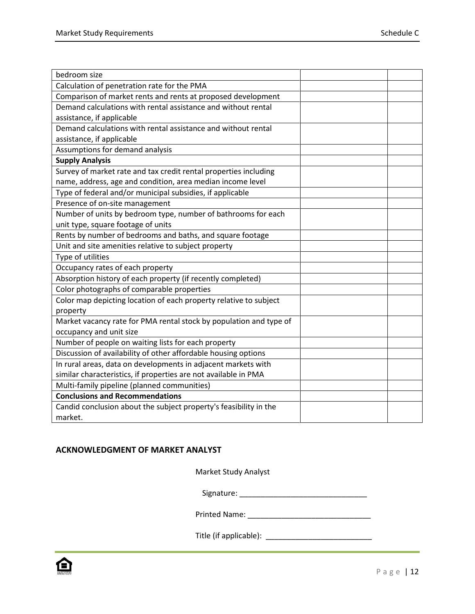| bedroom size                                                       |  |
|--------------------------------------------------------------------|--|
| Calculation of penetration rate for the PMA                        |  |
| Comparison of market rents and rents at proposed development       |  |
| Demand calculations with rental assistance and without rental      |  |
| assistance, if applicable                                          |  |
| Demand calculations with rental assistance and without rental      |  |
| assistance, if applicable                                          |  |
| Assumptions for demand analysis                                    |  |
| <b>Supply Analysis</b>                                             |  |
| Survey of market rate and tax credit rental properties including   |  |
| name, address, age and condition, area median income level         |  |
| Type of federal and/or municipal subsidies, if applicable          |  |
| Presence of on-site management                                     |  |
| Number of units by bedroom type, number of bathrooms for each      |  |
| unit type, square footage of units                                 |  |
| Rents by number of bedrooms and baths, and square footage          |  |
| Unit and site amenities relative to subject property               |  |
| Type of utilities                                                  |  |
| Occupancy rates of each property                                   |  |
| Absorption history of each property (if recently completed)        |  |
| Color photographs of comparable properties                         |  |
| Color map depicting location of each property relative to subject  |  |
| property                                                           |  |
| Market vacancy rate for PMA rental stock by population and type of |  |
| occupancy and unit size                                            |  |
| Number of people on waiting lists for each property                |  |
| Discussion of availability of other affordable housing options     |  |
| In rural areas, data on developments in adjacent markets with      |  |
| similar characteristics, if properties are not available in PMA    |  |
| Multi-family pipeline (planned communities)                        |  |
| <b>Conclusions and Recommendations</b>                             |  |
| Candid conclusion about the subject property's feasibility in the  |  |
| market.                                                            |  |

# **ACKNOWLEDGMENT OF MARKET ANALYST**

Market Study Analyst

Signature: \_\_\_\_\_\_\_\_\_\_\_\_\_\_\_\_\_\_\_\_\_\_\_\_\_\_\_\_\_\_

Printed Name: \_\_\_\_\_\_\_\_\_\_\_\_\_\_\_\_\_\_\_\_\_\_\_\_\_\_\_\_\_

Title (if applicable): \_\_\_\_\_\_\_\_\_\_\_\_\_\_\_\_\_\_\_\_\_\_\_\_\_

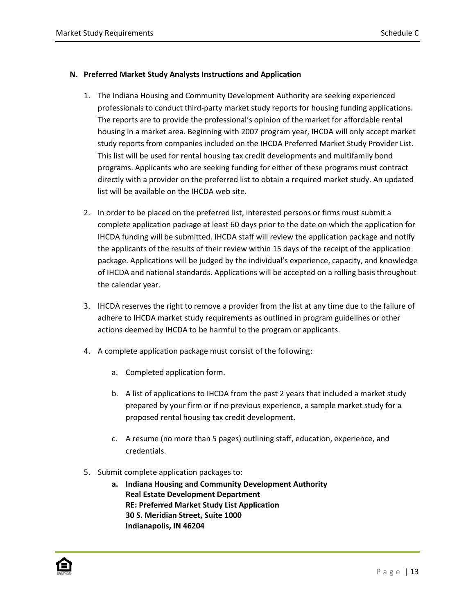#### **N. Preferred Market Study Analysts Instructions and Application**

- 1. The Indiana Housing and Community Development Authority are seeking experienced professionals to conduct third-party market study reports for housing funding applications. The reports are to provide the professional's opinion of the market for affordable rental housing in a market area. Beginning with 2007 program year, IHCDA will only accept market study reports from companies included on the IHCDA Preferred Market Study Provider List. This list will be used for rental housing tax credit developments and multifamily bond programs. Applicants who are seeking funding for either of these programs must contract directly with a provider on the preferred list to obtain a required market study. An updated list will be available on the IHCDA web site.
- 2. In order to be placed on the preferred list, interested persons or firms must submit a complete application package at least 60 days prior to the date on which the application for IHCDA funding will be submitted. IHCDA staff will review the application package and notify the applicants of the results of their review within 15 days of the receipt of the application package. Applications will be judged by the individual's experience, capacity, and knowledge of IHCDA and national standards. Applications will be accepted on a rolling basis throughout the calendar year.
- 3. IHCDA reserves the right to remove a provider from the list at any time due to the failure of adhere to IHCDA market study requirements as outlined in program guidelines or other actions deemed by IHCDA to be harmful to the program or applicants.
- 4. A complete application package must consist of the following:
	- a. Completed application form.
	- b. A list of applications to IHCDA from the past 2 years that included a market study prepared by your firm or if no previous experience, a sample market study for a proposed rental housing tax credit development.
	- c. A resume (no more than 5 pages) outlining staff, education, experience, and credentials.
- 5. Submit complete application packages to:
	- **a. Indiana Housing and Community Development Authority Real Estate Development Department RE: Preferred Market Study List Application 30 S. Meridian Street, Suite 1000 Indianapolis, IN 46204**